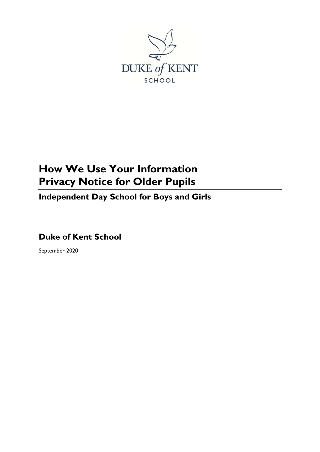

# **How We Use Your Information Privacy Notice for Older Pupils**

**Independent Day School for Boys and Girls**

**Duke of Kent School**

September 2020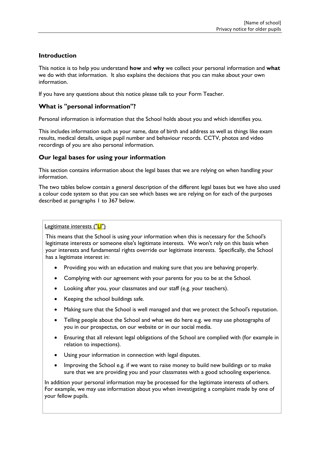# **Introduction**

This notice is to help you understand **how** and **why** we collect your personal information and **what** we do with that information. It also explains the decisions that you can make about your own information.

If you have any questions about this notice please talk to your Form Teacher.

# **What is "personal information"?**

Personal information is information that the School holds about you and which identifies you.

This includes information such as your name, date of birth and address as well as things like exam results, medical details, unique pupil number and behaviour records. CCTV, photos and video recordings of you are also personal information.

# **Our legal bases for using your information**

This section contains information about the legal bases that we are relying on when handling your information.

The two tables below contain a general description of the different legal bases but we have also used a colour code system so that you can see which bases we are relying on for each of the purposes described at paragraphs [1](#page-3-0) to [367](#page-5-0) below.

Legitimate interests ("LI")

This means that the School is using your information when this is necessary for the School's legitimate interests or someone else's legitimate interests. We won't rely on this basis when your interests and fundamental rights override our legitimate interests. Specifically, the School has a legitimate interest in:

- Providing you with an education and making sure that you are behaving properly.
- Complying with our agreement with your parents for you to be at the School.
- Looking after you, your classmates and our staff (e.g. your teachers).
- Keeping the school buildings safe.
- Making sure that the School is well managed and that we protect the School's reputation.
- Telling people about the School and what we do here e.g. we may use photographs of you in our prospectus, on our website or in our social media.
- Ensuring that all relevant legal obligations of the School are complied with (for example in relation to inspections).
- Using your information in connection with legal disputes.
- Improving the School e.g. if we want to raise money to build new buildings or to make sure that we are providing you and your classmates with a good schooling experience.

In addition your personal information may be processed for the legitimate interests of others. For example, we may use information about you when investigating a complaint made by one of your fellow pupils.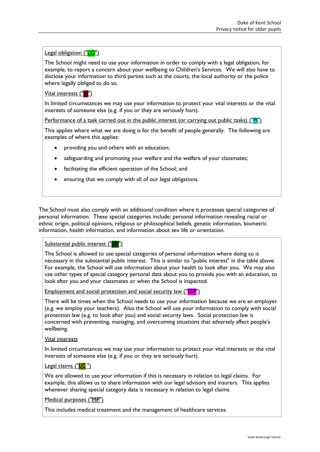**Legal obligation ("LO")** 

The School might need to use your information in order to comply with a legal obligation, for example, to report a concern about your wellbeing to Children's Services. We will also have to disclose your information to third parties such as the courts, the local authority or the police where legally obliged to do so.

Vital interests ("VI")

In limited circumstances we may use your information to protect your vital interests or the vital interests of someone else (e.g. if you or they are seriously hurt).

Performance of a task carried out in the public interest (or carrying out public tasks) ("PI")

This applies where what we are doing is for the benefit of people generally. The following are examples of where this applies:

- providing you and others with an education;
- safeguarding and promoting your welfare and the welfare of your classmates;
- facilitating the efficient operation of the School; and
- ensuring that we comply with all of our legal obligations.

The School must also comply with an additional condition where it processes special categories of personal information. These special categories include: personal information revealing racial or ethnic origin, political opinions, religious or philosophical beliefs, genetic information, biometric information, health information, and information about sex life or orientation.

Substantial public interest ("SPI")

The School is allowed to use special categories of personal information where doing so is necessary in the substantial public interest. This is similar to "public interest" in the table above. For example, the School will use information about your health to look after you. We may also use other types of special category personal data about you to provide you with an education, to look after you and your classmates or when the School is inspected.

Employment and social protection and social security law ("ESP")

There will be times when the School needs to use your information because we are an employer (e.g. we employ your teachers). Also the School will use your information to comply with social protection law (e.g. to look after you) and social security laws. Social protection law is concerned with preventing, managing, and overcoming situations that adversely affect people's wellbeing.

#### Vital interests

In limited circumstances we may use your information to protect your vital interests or the vital interests of someone else (e.g. if you or they are seriously hurt).

#### Legal claims ("LC ")

We are allowed to use your information if this is necessary in relation to legal claims. For example, this allows us to share information with our legal advisors and insurers. This applies whenever sharing special category data is necessary in relation to legal claims.

#### Medical purposes ("MP")

This includes medical treatment and the management of healthcare services.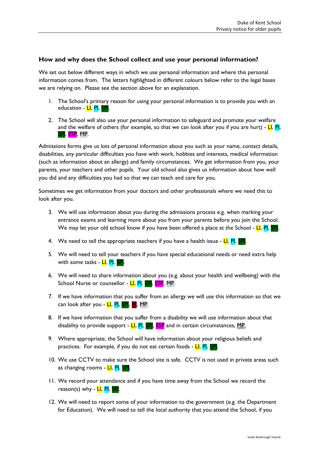## **How and why does the School collect and use your personal information?**

We set out below different ways in which we use personal information and where this personal information comes from. The letters highlighted in different colours below refer to the legal bases we are relying on. Please see the section above for an explanation.

- <span id="page-3-0"></span>1. The School's primary reason for using your personal information is to provide you with an education - <mark>LI</mark>, <mark>PI, S</mark>
- 2. The School will also use your personal information to safeguard and promote your welfare and the welfare of others (for example, so that we can look after you if you are hurt) -  $LI$ , Pl, SPI, ESP, MP.

Admissions forms give us lots of personal information about you such as your name, contact details, disabilities, any particular difficulties you have with work, hobbies and interests, medical information (such as information about an allergy) and family circumstances. We get information from you, your parents, your teachers and other pupils. Your old school also gives us information about how well you did and any difficulties you had so that we can teach and care for you.

Sometimes we get information from your doctors and other professionals where we need this to look after you.

- 3. We will use information about you during the admissions process e.g. when marking your entrance exams and learning more about you from your parents before you join the School. We may let your old school know if you have been offered a place at the School - LI, PI, SPI.
- 4. We need to tell the appropriate teachers if you have a health issue  $LI$ ,  $PI$ ,  $SPI$ .
- 5. We will need to tell your teachers if you have special educational needs or need extra help with some tasks - <mark>LI, PI, SPI</mark>.
- 6. We will need to share information about you (e.g. about your health and wellbeing) with the School Nurse or counsellor - <mark>LI, PI, SPI</mark>, ESP, MP.
- 7. If we have information that you suffer from an allergy we will use this information so that we can look after you - LI, PI, SPI, VI, MP.
- 8. If we have information that you suffer from a disability we will use information about that disability to provide support - LI, PI, SPI, ESP and in certain circumstances, MP.
- 9. Where appropriate, the School will have information about your religious beliefs and practices. For example, if you do not eat certain foods - LI, PI, SPI.
- 10. We use CCTV to make sure the School site is safe. CCTV is not used in private areas such as changing rooms - LI, PI, SPI.
- 11. We record your attendance and if you have time away from the School we record the reason(s) why - LI, PI, SPI.
- 12. We will need to report some of your information to the government (e.g. the Department for Education). We will need to tell the local authority that you attend the School, if you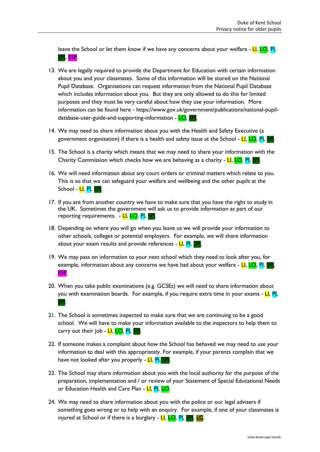leave the School or let them know if we have any concerns about your welfare - LI, LO, PI, SPI, ESP.

- 13. We are legally required to provide the Department for Education with certain information about you and your classmates. Some of this information will be stored on the National Pupil Database. Organisations can request information from the National Pupil Database which includes information about you. But they are only allowed to do this for limited purposes and they must be very careful about how they use your information. More information can be found here - [https://www.gov.uk/government/publications/national-pupil](https://www.gov.uk/government/publications/national-pupil-database-user-guide-and-supporting-information)[database-user-guide-and-supporting-information](https://www.gov.uk/government/publications/national-pupil-database-user-guide-and-supporting-information) - LO, SPI.
- 14. We may need to share information about you with the Health and Safety Executive (a government organisation) if there is a health and safety issue at the School -  $LI$ ,  $LO$ , PI,
- 15. The School is a charity which means that we may need to share your information with the Charity Commission which checks how we are behaving as a charity -  $LI$ , LO, PI, SPI.
- 16. We will need information about any court orders or criminal matters which relate to you. This is so that we can safeguard your welfare and wellbeing and the other pupils at the School - <mark>LI</mark>, PI, SPI
- 17. If you are from another country we have to make sure that you have the right to study in the UK. Sometimes the government will ask us to provide information as part of our reporting requirements. - LI, LO, PI, SP.
- 18. Depending on where you will go when you leave us we will provide your information to other schools, colleges or potential employers. For example, we will share information about your exam results and provide references - LI, PI, SPI.
- 19. We may pass on information to your next school which they need to look after you, for example, information about any concerns we have had about your welfare  $\overline{\mathsf{L}}$ ,  $\overline{\mathsf{L}}$ ,  $\overline{\mathsf{L}}$ ,  $\overline{\mathsf{L}}$ ,  $\overline{\mathsf{L}}$ ,  $\overline{\mathsf{L}}$ ,  $\overline{\mathsf{L}}$ ,  $\overline{\mathsf{L}}$ ESP.
- 20. When you take public examinations (e.g. GCSEs) we will need to share information about you with examination boards. For example, if you require extra time in your exams - LI, PI, SPI.
- 21. The School is sometimes inspected to make sure that we are continuing to be a good school. We will have to make your information available to the inspectors to help them to carry out their job - <mark>LI, LO, PI, SPI</mark>.
- 22. If someone makes a complaint about how the School has behaved we may need to use your information to deal with this appropriately. For example, if your parents complain that we have not looked after you properly - LI, PI, SPI.
- 23. The School may share information about you with the local authority for the purpose of the preparation, implementation and / or review of your Statement of Special Educational Needs or Education Health and Care Plan - LI, PI, LO.
- 24. We may need to share information about you with the police or our legal advisers if something goes wrong or to help with an enquiry. For example, if one of your classmates is injured at School or if there is a burglary - LI, LO, PI, SPI, LC.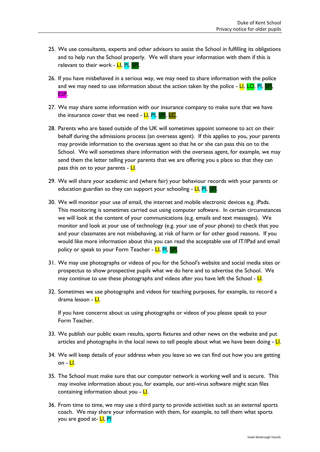- 25. We use consultants, experts and other advisors to assist the School in fulfilling its obligations and to help run the School properly. We will share your information with them if this is relevant to their work - LI, PI, SPI.
- 26. If you have misbehaved in a serious way, we may need to share information with the police and we may need to use information about the action taken by the police -  $LI$ ,  $LO$ , PI, SPI, ESP.
- 27. We may share some information with our insurance company to make sure that we have the insurance cover that we need -  $LI$ ,  $PI$ ,  $SI$ ,  $LC$ .
- 28. Parents who are based outside of the UK will sometimes appoint someone to act on their behalf during the admissions process (an overseas agent). If this applies to you, your parents may provide information to the overseas agent so that he or she can pass this on to the School. We will sometimes share information with the overseas agent, for example, we may send them the letter telling your parents that we are offering you a place so that they can pass this on to your parents -  $Ll$ .
- 29. We will share your academic and (where fair) your behaviour records with your parents or education guardian so they can support your schooling - **LI**, PI, SPI
- 30. We will monitor your use of email, the internet and mobile electronic devices e.g. iPads. This monitoring is sometimes carried out using computer software. In certain circumstances we will look at the content of your communications (e.g. emails and text messages). We monitor and look at your use of technology (e.g. your use of your phone) to check that you and your classmates are not misbehaving, at risk of harm or for other good reasons. If you would like more information about this you can read the acceptable use of IT/IPad and email policy or speak to your Form Teacher - LI, PI, SPI.
- 31. We may use photographs or videos of you for the School's website and social media sites or prospectus to show prospective pupils what we do here and to advertise the School. We may continue to use these photographs and videos after you have left the School -  $L$ .
- 32. Sometimes we use photographs and videos for teaching purposes, for example, to record a drama lesson - LI.

If you have concerns about us using photographs or videos of you please speak to your Form Teacher.

- 33. We publish our public exam results, sports fixtures and other news on the website and put articles and photographs in the local news to tell people about what we have been doing  $\sim$   $\blacksquare$ .
- 34. We will keep details of your address when you leave so we can find out how you are getting on -  $Ll$ .
- 35. The School must make sure that our computer network is working well and is secure. This may involve information about you, for example, our anti-virus software might scan files containing information about you - LI.
- <span id="page-5-0"></span>36. From time to time, we may use a third party to provide activities such as an external sports coach. We may share your information with them, for example, to tell them what sports you are good at- LI, PI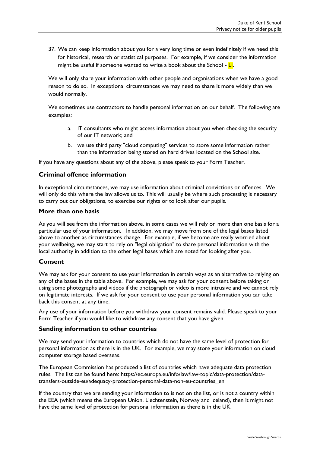37. We can keep information about you for a very long time or even indefinitely if we need this for historical, research or statistical purposes. For example, if we consider the information might be useful if someone wanted to write a book about the School -  $LI$ .

We will only share your information with other people and organisations when we have a good reason to do so. In exceptional circumstances we may need to share it more widely than we would normally.

We sometimes use contractors to handle personal information on our behalf. The following are examples:

- a. IT consultants who might access information about you when checking the security of our IT network; and
- b. we use third party "cloud computing" services to store some information rather than the information being stored on hard drives located on the School site.

If you have any questions about any of the above, please speak to your Form Teacher.

#### **Criminal offence information**

In exceptional circumstances, we may use information about criminal convictions or offences. We will only do this where the law allows us to. This will usually be where such processing is necessary to carry out our obligations, to exercise our rights or to look after our pupils.

#### **More than one basis**

As you will see from the information above, in some cases we will rely on more than one basis for a particular use of your information. In addition, we may move from one of the legal bases listed above to another as circumstances change. For example, if we become are really worried about your wellbeing, we may start to rely on "legal obligation" to share personal information with the local authority in addition to the other legal bases which are noted for looking after you.

#### **Consent**

We may ask for your consent to use your information in certain ways as an alternative to relying on any of the bases in the table above. For example, we may ask for your consent before taking or using some photographs and videos if the photograph or video is more intrusive and we cannot rely on legitimate interests. If we ask for your consent to use your personal information you can take back this consent at any time.

Any use of your information before you withdraw your consent remains valid. Please speak to your Form Teacher if you would like to withdraw any consent that you have given.

#### **Sending information to other countries**

We may send your information to countries which do not have the same level of protection for personal information as there is in the UK. For example, we may store your information on cloud computer storage based overseas.

The European Commission has produced a list of countries which have adequate data protection rules. The list can be found here: https://ec.europa.eu/info/law/law-topic/data-protection/datatransfers-outside-eu/adequacy-protection-personal-data-non-eu-countries\_en

If the country that we are sending your information to is not on the list, or is not a country within the EEA (which means the European Union, Liechtenstein, Norway and Iceland), then it might not have the same level of protection for personal information as there is in the UK.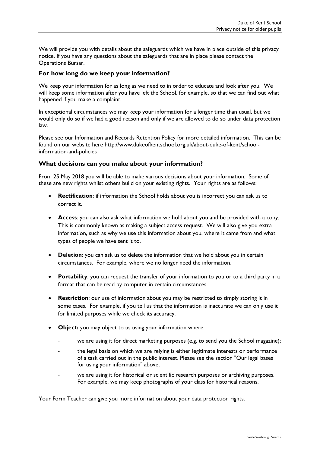We will provide you with details about the safeguards which we have in place outside of this privacy notice. If you have any questions about the safeguards that are in place please contact the Operations Bursar.

## **For how long do we keep your information?**

We keep your information for as long as we need to in order to educate and look after you. We will keep some information after you have left the School, for example, so that we can find out what happened if you make a complaint.

In exceptional circumstances we may keep your information for a longer time than usual, but we would only do so if we had a good reason and only if we are allowed to do so under data protection law.

Please see our Information and Records Retention Policy for more detailed information. This can be found on our website here http://www.dukeofkentschool.org.uk/about-duke-of-kent/schoolinformation-and-policies

#### **What decisions can you make about your information?**

From 25 May 2018 you will be able to make various decisions about your information. Some of these are new rights whilst others build on your existing rights. Your rights are as follows:

- **Rectification**: if information the School holds about you is incorrect you can ask us to correct it.
- **Access**: you can also ask what information we hold about you and be provided with a copy. This is commonly known as making a subject access request. We will also give you extra information, such as why we use this information about you, where it came from and what types of people we have sent it to.
- **•** Deletion: you can ask us to delete the information that we hold about you in certain circumstances. For example, where we no longer need the information.
- **Portability**: you can request the transfer of your information to you or to a third party in a format that can be read by computer in certain circumstances.
- **Restriction**: our use of information about you may be restricted to simply storing it in some cases. For example, if you tell us that the information is inaccurate we can only use it for limited purposes while we check its accuracy.
- **Object:** you may object to us using your information where:
	- we are using it for direct marketing purposes (e.g. to send you the School magazine);
	- the legal basis on which we are relying is either legitimate interests or performance of a task carried out in the public interest. Please see the section "Our legal bases for using your information" above;
	- we are using it for historical or scientific research purposes or archiving purposes. For example, we may keep photographs of your class for historical reasons.

Your Form Teacher can give you more information about your data protection rights.